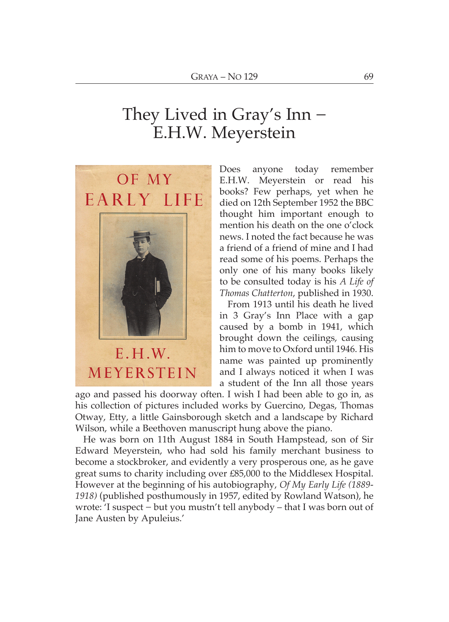## They Lived in Gray's  $Inn-$ E.H.W. Meyerstein



Does anvone today remember E.H.W. Meyerstein or read his books? Few perhaps, yet when he died on 12th September 1952 the BBC thought him important enough to mention his death on the one o'clock news I noted the fact because he was a friend of a friend of mine and I had read some of his poems. Perhaps the only one of his many books likely to be consulted today is his A Life of Thomas Chatterton, published in 1930.

From 1913 until his death he lived in 3 Gray's Inn Place with a gap caused by a bomb in 1941, which brought down the ceilings, causing him to move to Oxford until 1946. His name was painted up prominently and I always noticed it when I was a student of the Inn all those years

ago and passed his doorway often. I wish I had been able to go in, as his collection of pictures included works by Guercino, Degas, Thomas Otway, Etty, a little Gainsborough sketch and a landscape by Richard Wilson, while a Beethoven manuscript hung above the piano.

He was born on 11th August 1884 in South Hampstead, son of Sir Edward Meyerstein, who had sold his family merchant business to become a stockbroker, and evidently a very prosperous one, as he gave great sums to charity including over £85,000 to the Middlesex Hospital. However at the beginning of his autobiography, Of My Early Life (1889-1918) (published posthumously in 1957, edited by Rowland Watson), he wrote: 'I suspect – but you mustn't tell anybody – that I was born out of Jane Austen by Apuleius.'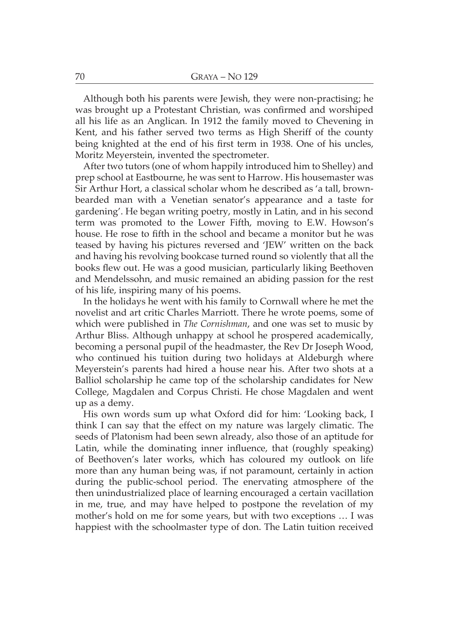Although both his parents were Jewish, they were non-practising; he was brought up a Protestant Christian, was confirmed and worshiped all his life as an Anglican. In 1912 the family moved to Chevening in Kent, and his father served two terms as High Sheriff of the county being knighted at the end of his first term in 1938. One of his uncles, Moritz Meverstein, invented the spectrometer.

After two tutors (one of whom happily introduced him to Shelley) and prep school at Eastbourne, he was sent to Harrow. His housemaster was Sir Arthur Hort, a classical scholar whom he described as 'a tall, brownbearded man with a Venetian senator's appearance and a taste for gardening'. He began writing poetry, mostly in Latin, and in his second term was promoted to the Lower Fifth, moving to E.W. Howson's house. He rose to fifth in the school and became a monitor but he was teased by having his pictures reversed and 'IEW' written on the back and having his revolving bookcase turned round so violently that all the books flew out. He was a good musician, particularly liking Beethoven and Mendelssohn, and music remained an abiding passion for the rest of his life, inspiring many of his poems.

In the holidays he went with his family to Cornwall where he met the novelist and art critic Charles Marriott. There he wrote poems, some of which were published in *The Cornishman*, and one was set to music by Arthur Bliss. Although unhappy at school he prospered academically, becoming a personal pupil of the headmaster, the Rev Dr Joseph Wood, who continued his tuition during two holidays at Aldeburgh where Meverstein's parents had hired a house near his. After two shots at a Balliol scholarship he came top of the scholarship candidates for New College, Magdalen and Corpus Christi. He chose Magdalen and went up as a demy.

His own words sum up what Oxford did for him: 'Looking back, I think I can say that the effect on my nature was largely climatic. The seeds of Platonism had been sewn already, also those of an aptitude for Latin, while the dominating inner influence, that (roughly speaking) of Beethoven's later works, which has coloured my outlook on life more than any human being was, if not paramount, certainly in action during the public-school period. The enervating atmosphere of the then unindustrialized place of learning encouraged a certain vacillation in me, true, and may have helped to postpone the revelation of my mother's hold on me for some years, but with two exceptions ... I was happiest with the schoolmaster type of don. The Latin tuition received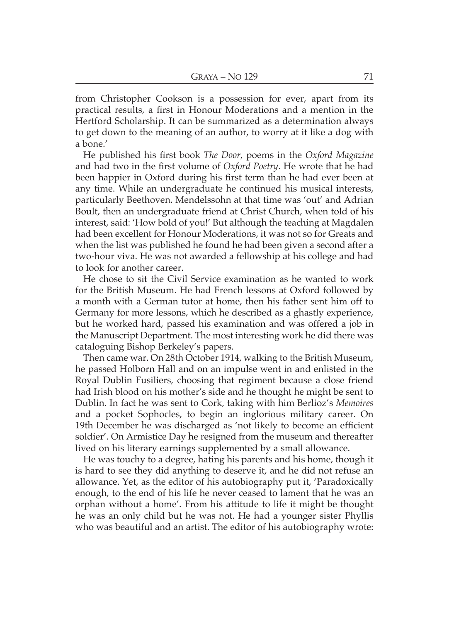from Christopher Cookson is a possession for ever, apart from its practical results, a first in Honour Moderations and a mention in the Hertford Scholarship. It can be summarized as a determination always to get down to the meaning of an author, to worry at it like a dog with a bone.'

He published his first book *The Door*, poems in the Oxford Magazine and had two in the first volume of Oxford Poetry. He wrote that he had been happier in Oxford during his first term than he had ever been at any time. While an undergraduate he continued his musical interests, particularly Beethoven. Mendelssohn at that time was 'out' and Adrian Boult, then an undergraduate friend at Christ Church, when told of his interest, said: 'How bold of you!' But although the teaching at Magdalen had been excellent for Honour Moderations, it was not so for Greats and when the list was published he found he had been given a second after a two-hour viva. He was not awarded a fellowship at his college and had to look for another career.

He chose to sit the Civil Service examination as he wanted to work for the British Museum. He had French lessons at Oxford followed by a month with a German tutor at home, then his father sent him off to Germany for more lessons, which he described as a ghastly experience, but he worked hard, passed his examination and was offered a job in the Manuscript Department. The most interesting work he did there was cataloguing Bishop Berkeley's papers.

Then came war. On 28th October 1914, walking to the British Museum. he passed Holborn Hall and on an impulse went in and enlisted in the Royal Dublin Fusiliers, choosing that regiment because a close friend had Irish blood on his mother's side and he thought he might be sent to Dublin. In fact he was sent to Cork, taking with him Berlioz's Memoires and a pocket Sophocles, to begin an inglorious military career. On 19th December he was discharged as 'not likely to become an efficient soldier'. On Armistice Day he resigned from the museum and thereafter lived on his literary earnings supplemented by a small allowance.

He was touchy to a degree, hating his parents and his home, though it is hard to see they did anything to deserve it, and he did not refuse an allowance. Yet, as the editor of his autobiography put it, 'Paradoxically enough, to the end of his life he never ceased to lament that he was an orphan without a home'. From his attitude to life it might be thought he was an only child but he was not. He had a younger sister Phyllis who was beautiful and an artist. The editor of his autobiography wrote: